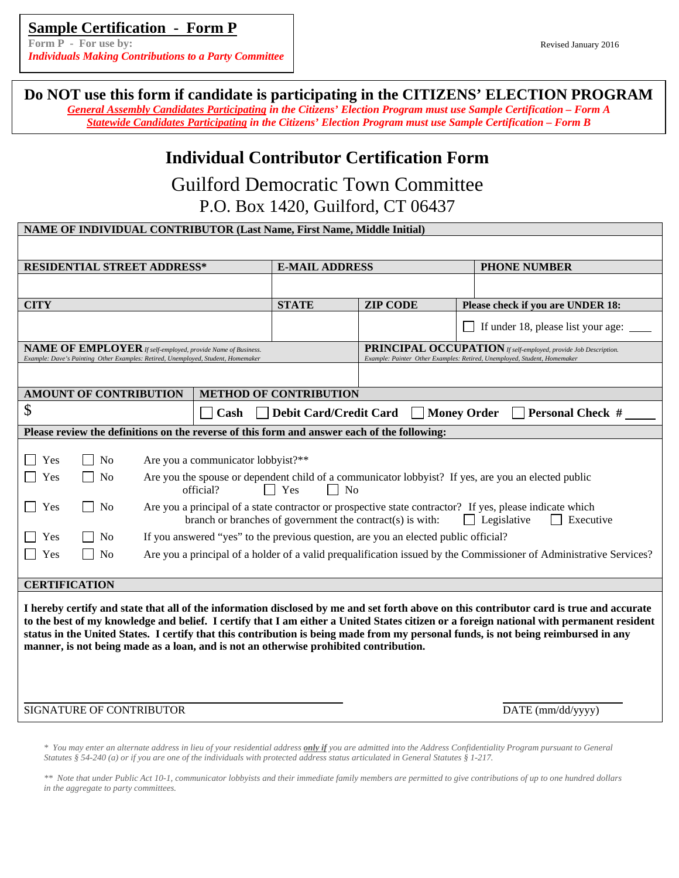**Form P** - For use by: **Revised January 2016 Revised January 2016** *Individuals Making Contributions to a Party Committee*

**Do NOT use this form if candidate is participating in the CITIZENS' ELECTION PROGRAM** 

*General Assembly Candidates Participating in the Citizens' Election Program must use Sample Certification – Form A Statewide Candidates Participating in the Citizens' Election Program must use Sample Certification – Form B*

# **Individual Contributor Certification Form**

Guilford Democratic Town Committee P.O. Box 1420, Guilford, CT 06437

| NAME OF INDIVIDUAL CONTRIBUTOR (Last Name, First Name, Middle Initial)                                                                                                                                                                                                                                                                                                                                                                                                                                                                                                                                                                                                                                                    |                                                                  |                                                                                                                                                    |                                    |
|---------------------------------------------------------------------------------------------------------------------------------------------------------------------------------------------------------------------------------------------------------------------------------------------------------------------------------------------------------------------------------------------------------------------------------------------------------------------------------------------------------------------------------------------------------------------------------------------------------------------------------------------------------------------------------------------------------------------------|------------------------------------------------------------------|----------------------------------------------------------------------------------------------------------------------------------------------------|------------------------------------|
|                                                                                                                                                                                                                                                                                                                                                                                                                                                                                                                                                                                                                                                                                                                           |                                                                  |                                                                                                                                                    |                                    |
| <b>RESIDENTIAL STREET ADDRESS*</b>                                                                                                                                                                                                                                                                                                                                                                                                                                                                                                                                                                                                                                                                                        | <b>E-MAIL ADDRESS</b>                                            |                                                                                                                                                    | <b>PHONE NUMBER</b>                |
|                                                                                                                                                                                                                                                                                                                                                                                                                                                                                                                                                                                                                                                                                                                           |                                                                  |                                                                                                                                                    |                                    |
| <b>CITY</b>                                                                                                                                                                                                                                                                                                                                                                                                                                                                                                                                                                                                                                                                                                               | <b>STATE</b>                                                     | <b>ZIP CODE</b>                                                                                                                                    | Please check if you are UNDER 18:  |
|                                                                                                                                                                                                                                                                                                                                                                                                                                                                                                                                                                                                                                                                                                                           |                                                                  |                                                                                                                                                    | If under 18, please list your age: |
| NAME OF EMPLOYER If self-employed, provide Name of Business.<br>Example: Dave's Painting Other Examples: Retired, Unemployed, Student, Homemaker                                                                                                                                                                                                                                                                                                                                                                                                                                                                                                                                                                          |                                                                  | <b>PRINCIPAL OCCUPATION</b> If self-employed, provide Job Description.<br>Example: Painter Other Examples: Retired, Unemployed, Student, Homemaker |                                    |
|                                                                                                                                                                                                                                                                                                                                                                                                                                                                                                                                                                                                                                                                                                                           |                                                                  |                                                                                                                                                    |                                    |
| <b>METHOD OF CONTRIBUTION</b><br><b>AMOUNT OF CONTRIBUTION</b>                                                                                                                                                                                                                                                                                                                                                                                                                                                                                                                                                                                                                                                            |                                                                  |                                                                                                                                                    |                                    |
| $\mathcal{S}$<br>Cash                                                                                                                                                                                                                                                                                                                                                                                                                                                                                                                                                                                                                                                                                                     | Debit Card/Credit Card<br>Money Order<br><b>Personal Check #</b> |                                                                                                                                                    |                                    |
| Please review the definitions on the reverse of this form and answer each of the following:                                                                                                                                                                                                                                                                                                                                                                                                                                                                                                                                                                                                                               |                                                                  |                                                                                                                                                    |                                    |
| Yes<br>Are you a communicator lobbyist?**<br>N <sub>0</sub><br>Yes<br>N <sub>o</sub><br>Are you the spouse or dependent child of a communicator lobbyist? If yes, are you an elected public<br>official?<br>Yes<br>No<br>Are you a principal of a state contractor or prospective state contractor? If yes, please indicate which<br>Yes<br>N <sub>0</sub><br>branch or branches of government the contract(s) is with:<br>$\Box$ Legislative<br>Executive<br>If you answered "yes" to the previous question, are you an elected public official?<br>Yes<br>N <sub>0</sub><br>Are you a principal of a holder of a valid prequalification issued by the Commissioner of Administrative Services?<br>N <sub>o</sub><br>Yes |                                                                  |                                                                                                                                                    |                                    |
| <b>CERTIFICATION</b><br>I hereby certify and state that all of the information disclosed by me and set forth above on this contributor card is true and accurate<br>to the best of my knowledge and belief. I certify that I am either a United States citizen or a foreign national with permanent resident<br>status in the United States. I certify that this contribution is being made from my personal funds, is not being reimbursed in any<br>manner, is not being made as a loan, and is not an otherwise prohibited contribution.<br>SIGNATURE OF CONTRIBUTOR<br>DATE (mm/dd/yyyy)                                                                                                                              |                                                                  |                                                                                                                                                    |                                    |
|                                                                                                                                                                                                                                                                                                                                                                                                                                                                                                                                                                                                                                                                                                                           |                                                                  |                                                                                                                                                    |                                    |

*\* You may enter an alternate address in lieu of your residential address only if you are admitted into the Address Confidentiality Program pursuant to General Statutes § 54-240 (a) or if you are one of the individuals with protected address status articulated in General Statutes § 1-217.* 

*\*\* Note that under Public Act 10-1, communicator lobbyists and their immediate family members are permitted to give contributions of up to one hundred dollars in the aggregate to party committees.*